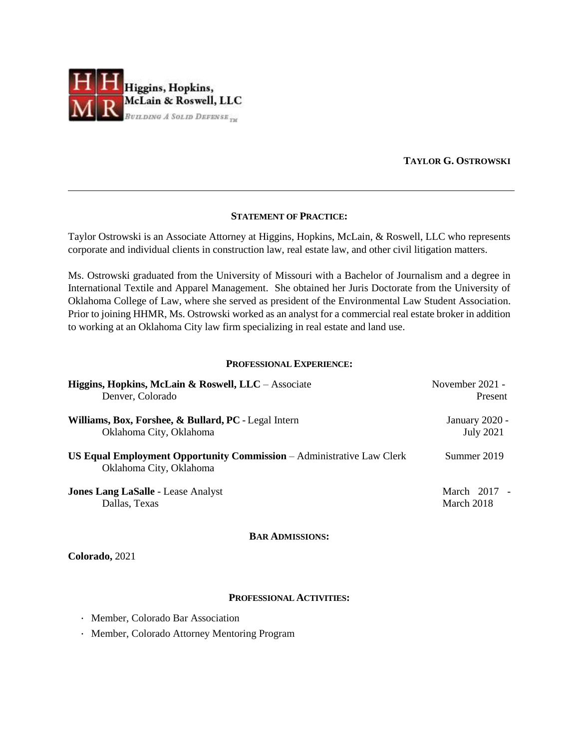

## **TAYLOR G. OSTROWSKI**

### **STATEMENT OF PRACTICE:**

Taylor Ostrowski is an Associate Attorney at Higgins, Hopkins, McLain, & Roswell, LLC who represents corporate and individual clients in construction law, real estate law, and other civil litigation matters.

Ms. Ostrowski graduated from the University of Missouri with a Bachelor of Journalism and a degree in International Textile and Apparel Management. She obtained her Juris Doctorate from the University of Oklahoma College of Law, where she served as president of the Environmental Law Student Association. Prior to joining HHMR, Ms. Ostrowski worked as an analyst for a commercial real estate broker in addition to working at an Oklahoma City law firm specializing in real estate and land use.

#### **PROFESSIONAL EXPERIENCE:**

| Higgins, Hopkins, McLain & Roswell, LLC – Associate                                              | November 2021 -  |
|--------------------------------------------------------------------------------------------------|------------------|
| Denver, Colorado                                                                                 | Present          |
| Williams, Box, Forshee, & Bullard, PC - Legal Intern                                             | January 2020 -   |
| Oklahoma City, Oklahoma                                                                          | <b>July 2021</b> |
| US Equal Employment Opportunity Commission - Administrative Law Clerk<br>Oklahoma City, Oklahoma | Summer 2019      |
| <b>Jones Lang LaSalle - Lease Analyst</b>                                                        | March 2017 -     |
| Dallas, Texas                                                                                    | March 2018       |

#### **BAR ADMISSIONS:**

**Colorado,** 2021

#### **PROFESSIONAL ACTIVITIES:**

- · Member, Colorado Bar Association
- · Member, Colorado Attorney Mentoring Program